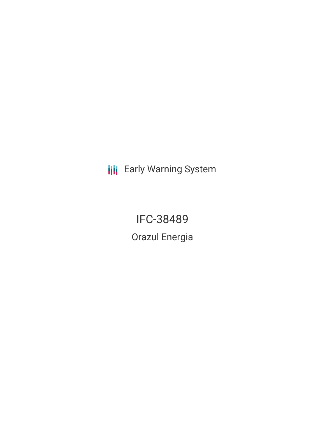**III** Early Warning System

**IFC-38489** Orazul Energia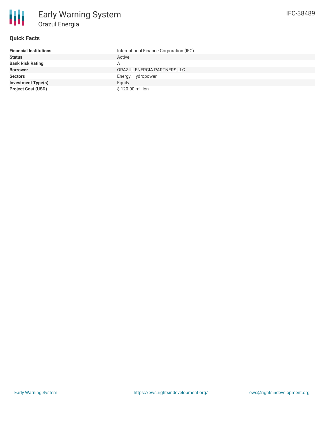

## **Quick Facts**

| <b>Financial Institutions</b> | International Finance Corporation (IFC) |
|-------------------------------|-----------------------------------------|
| <b>Status</b>                 | Active                                  |
| <b>Bank Risk Rating</b>       | A                                       |
| <b>Borrower</b>               | ORAZUL ENERGIA PARTNERS LLC             |
| <b>Sectors</b>                | Energy, Hydropower                      |
| <b>Investment Type(s)</b>     | Equity                                  |
| <b>Project Cost (USD)</b>     | \$120.00 million                        |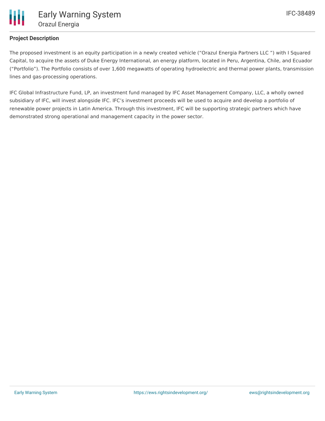

## **Project Description**

The proposed investment is an equity participation in a newly created vehicle ("Orazul Energia Partners LLC ") with I Squared Capital, to acquire the assets of Duke Energy International, an energy platform, located in Peru, Argentina, Chile, and Ecuador ("Portfolio"). The Portfolio consists of over 1,600 megawatts of operating hydroelectric and thermal power plants, transmission lines and gas-processing operations.

IFC Global Infrastructure Fund, LP, an investment fund managed by IFC Asset Management Company, LLC, a wholly owned subsidiary of IFC, will invest alongside IFC. IFC's investment proceeds will be used to acquire and develop a portfolio of renewable power projects in Latin America. Through this investment, IFC will be supporting strategic partners which have demonstrated strong operational and management capacity in the power sector.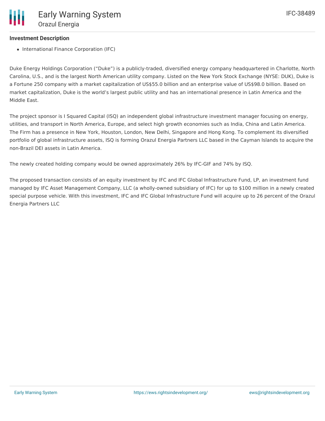## **Investment Description**

• International Finance Corporation (IFC)

Duke Energy Holdings Corporation ("Duke") is a publicly-traded, diversified energy company headquartered in Charlotte, North Carolina, U.S., and is the largest North American utility company. Listed on the New York Stock Exchange (NYSE: DUK), Duke is a Fortune 250 company with a market capitalization of US\$55.0 billion and an enterprise value of US\$98.0 billion. Based on market capitalization, Duke is the world's largest public utility and has an international presence in Latin America and the Middle East.

The project sponsor is I Squared Capital (ISQ) an independent global infrastructure investment manager focusing on energy, utilities, and transport in North America, Europe, and select high growth economies such as India, China and Latin America. The Firm has a presence in New York, Houston, London, New Delhi, Singapore and Hong Kong. To complement its diversified portfolio of global infrastructure assets, ISQ is forming Orazul Energia Partners LLC based in the Cayman Islands to acquire the non-Brazil DEI assets in Latin America.

The newly created holding company would be owned approximately 26% by IFC-GIF and 74% by ISQ.

The proposed transaction consists of an equity investment by IFC and IFC Global Infrastructure Fund, LP, an investment fund managed by IFC Asset Management Company, LLC (a wholly-owned subsidiary of IFC) for up to \$100 million in a newly created special purpose vehicle. With this investment, IFC and IFC Global Infrastructure Fund will acquire up to 26 percent of the Orazul Energia Partners LLC